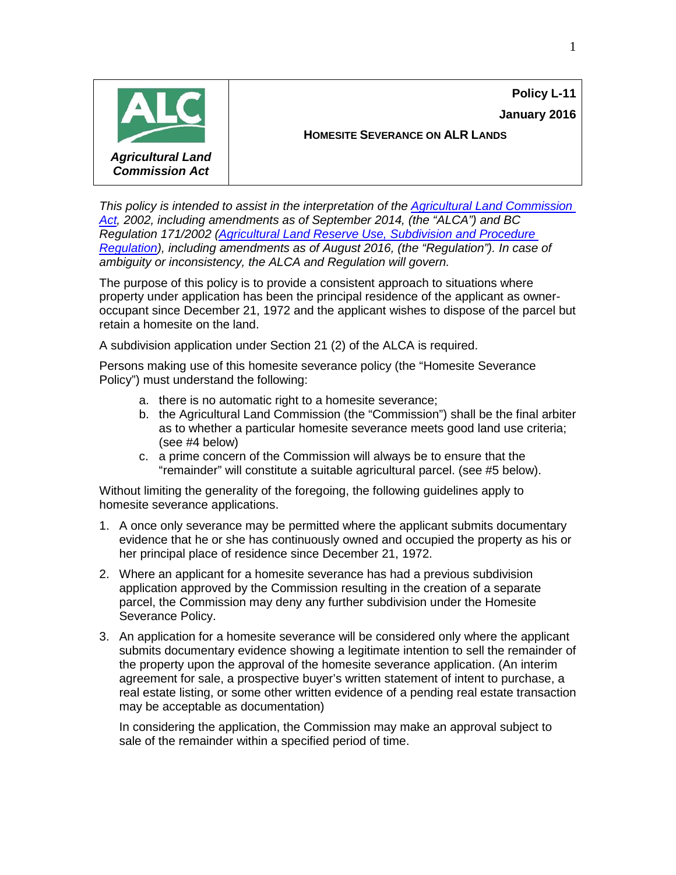**Policy L-11 January 2016**



## **HOMESITE SEVERANCE ON ALR LANDS**

*This policy is intended to assist in the interpretation of the [Agricultural Land Commission](http://www.bclaws.ca/Recon/document/ID/freeside/00_02036_01)  [Act,](http://www.bclaws.ca/Recon/document/ID/freeside/00_02036_01) 2002, including amendments as of September 2014, (the "ALCA") and BC Regulation 171/2002 [\(Agricultural Land Reserve Use, Subdivision and Procedure](http://www.bclaws.ca/civix/document/id/complete/statreg/171_2002)  [Regulation\)](http://www.bclaws.ca/civix/document/id/complete/statreg/171_2002), including amendments as of August 2016, (the "Regulation"). In case of ambiguity or inconsistency, the ALCA and Regulation will govern.*

The purpose of this policy is to provide a consistent approach to situations where property under application has been the principal residence of the applicant as owneroccupant since December 21, 1972 and the applicant wishes to dispose of the parcel but retain a homesite on the land.

A subdivision application under Section 21 (2) of the ALCA is required.

Persons making use of this homesite severance policy (the "Homesite Severance Policy") must understand the following:

- a. there is no automatic right to a homesite severance;
- b. the Agricultural Land Commission (the "Commission") shall be the final arbiter as to whether a particular homesite severance meets good land use criteria; (see #4 below)
- c. a prime concern of the Commission will always be to ensure that the "remainder" will constitute a suitable agricultural parcel. (see #5 below).

Without limiting the generality of the foregoing, the following guidelines apply to homesite severance applications.

- 1. A once only severance may be permitted where the applicant submits documentary evidence that he or she has continuously owned and occupied the property as his or her principal place of residence since December 21, 1972.
- 2. Where an applicant for a homesite severance has had a previous subdivision application approved by the Commission resulting in the creation of a separate parcel, the Commission may deny any further subdivision under the Homesite Severance Policy.
- 3. An application for a homesite severance will be considered only where the applicant submits documentary evidence showing a legitimate intention to sell the remainder of the property upon the approval of the homesite severance application. (An interim agreement for sale, a prospective buyer's written statement of intent to purchase, a real estate listing, or some other written evidence of a pending real estate transaction may be acceptable as documentation)

In considering the application, the Commission may make an approval subject to sale of the remainder within a specified period of time.